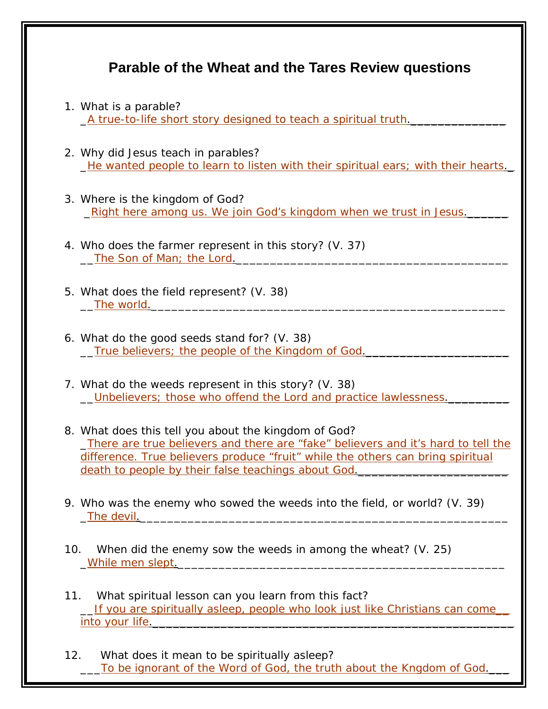## **Parable of the Wheat and the Tares Review questions**

- 1. What is a parable? \_A true-to-life short story designed to teach a spiritual truth.\_\_\_\_\_\_\_\_\_\_\_\_\_\_
- 2. Why did Jesus teach in parables? \_He wanted people to learn to listen with their spiritual ears; with their hearts.\_
- 3. Where is the kingdom of God? \_Right here among us. We join God's kingdom when we trust in Jesus.\_\_\_\_\_\_
- 4. Who does the farmer represent in this story? (V. 37) The Son of Man; the Lord.
- 5. What does the field represent? (V. 38) The world.
- 6. What do the good seeds stand for? (V. 38) \_\_True believers; the people of the Kingdom of God.\_\_\_\_\_\_\_\_\_\_\_\_\_\_\_\_\_\_\_\_\_
- 7. What do the weeds represent in this story? (V. 38) \_\_Unbelievers; those who offend the Lord and practice lawlessness.\_\_\_\_\_\_\_\_\_
- 8. What does this tell you about the kingdom of God? \_There are true believers and there are "fake" believers and it's hard to tell the difference. True believers produce "fruit" while the others can bring spiritual death to people by their false teachings about God.
- 9. Who was the enemy who sowed the weeds into the field, or world? (V. 39) The devil.
- 10. When did the enemy sow the weeds in among the wheat? (V. 25) \_While men slept.\_\_\_\_\_\_\_\_\_\_\_\_\_\_\_\_\_\_\_\_\_\_\_\_\_\_\_\_\_\_\_\_\_\_\_\_\_\_\_\_\_\_\_\_\_\_\_\_
- 11. What spiritual lesson can you learn from this fact? If you are spiritually asleep, people who look just like Christians can come into your life. The state of the state of the state of the state of the state of the state of the state of the
- 12. What does it mean to be spiritually asleep? To be ignorant of the Word of God, the truth about the Kngdom of God.